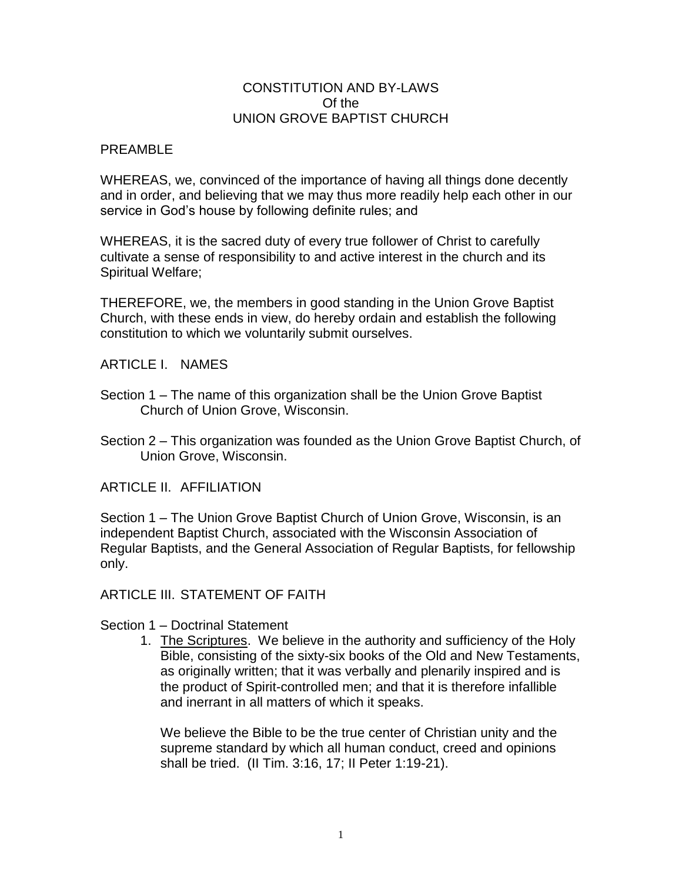### CONSTITUTION AND BY-LAWS Of the UNION GROVE BAPTIST CHURCH

### PREAMBLE

WHEREAS, we, convinced of the importance of having all things done decently and in order, and believing that we may thus more readily help each other in our service in God's house by following definite rules; and

WHEREAS, it is the sacred duty of every true follower of Christ to carefully cultivate a sense of responsibility to and active interest in the church and its Spiritual Welfare;

THEREFORE, we, the members in good standing in the Union Grove Baptist Church, with these ends in view, do hereby ordain and establish the following constitution to which we voluntarily submit ourselves.

ARTICLE I. NAMES

- Section 1 The name of this organization shall be the Union Grove Baptist Church of Union Grove, Wisconsin.
- Section 2 This organization was founded as the Union Grove Baptist Church, of Union Grove, Wisconsin.

ARTICLE II. AFFILIATION

Section 1 – The Union Grove Baptist Church of Union Grove, Wisconsin, is an independent Baptist Church, associated with the Wisconsin Association of Regular Baptists, and the General Association of Regular Baptists, for fellowship only.

ARTICLE III. STATEMENT OF FAITH

Section 1 – Doctrinal Statement

1. The Scriptures. We believe in the authority and sufficiency of the Holy Bible, consisting of the sixty-six books of the Old and New Testaments, as originally written; that it was verbally and plenarily inspired and is the product of Spirit-controlled men; and that it is therefore infallible and inerrant in all matters of which it speaks.

We believe the Bible to be the true center of Christian unity and the supreme standard by which all human conduct, creed and opinions shall be tried. (II Tim. 3:16, 17; II Peter 1:19-21).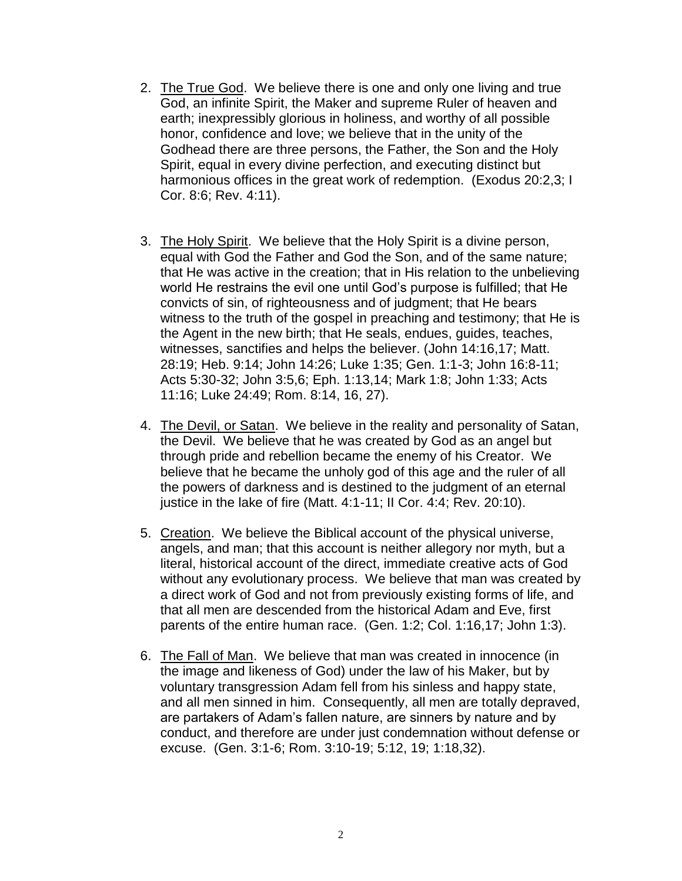- 2. The True God. We believe there is one and only one living and true God, an infinite Spirit, the Maker and supreme Ruler of heaven and earth; inexpressibly glorious in holiness, and worthy of all possible honor, confidence and love; we believe that in the unity of the Godhead there are three persons, the Father, the Son and the Holy Spirit, equal in every divine perfection, and executing distinct but harmonious offices in the great work of redemption. (Exodus 20:2,3; I Cor. 8:6; Rev. 4:11).
- 3. The Holy Spirit. We believe that the Holy Spirit is a divine person, equal with God the Father and God the Son, and of the same nature; that He was active in the creation; that in His relation to the unbelieving world He restrains the evil one until God's purpose is fulfilled; that He convicts of sin, of righteousness and of judgment; that He bears witness to the truth of the gospel in preaching and testimony; that He is the Agent in the new birth; that He seals, endues, guides, teaches, witnesses, sanctifies and helps the believer. (John 14:16,17; Matt. 28:19; Heb. 9:14; John 14:26; Luke 1:35; Gen. 1:1-3; John 16:8-11; Acts 5:30-32; John 3:5,6; Eph. 1:13,14; Mark 1:8; John 1:33; Acts 11:16; Luke 24:49; Rom. 8:14, 16, 27).
- 4. The Devil, or Satan. We believe in the reality and personality of Satan, the Devil. We believe that he was created by God as an angel but through pride and rebellion became the enemy of his Creator. We believe that he became the unholy god of this age and the ruler of all the powers of darkness and is destined to the judgment of an eternal justice in the lake of fire (Matt. 4:1-11; II Cor. 4:4; Rev. 20:10).
- 5. Creation. We believe the Biblical account of the physical universe, angels, and man; that this account is neither allegory nor myth, but a literal, historical account of the direct, immediate creative acts of God without any evolutionary process. We believe that man was created by a direct work of God and not from previously existing forms of life, and that all men are descended from the historical Adam and Eve, first parents of the entire human race. (Gen. 1:2; Col. 1:16,17; John 1:3).
- 6. The Fall of Man. We believe that man was created in innocence (in the image and likeness of God) under the law of his Maker, but by voluntary transgression Adam fell from his sinless and happy state, and all men sinned in him. Consequently, all men are totally depraved, are partakers of Adam's fallen nature, are sinners by nature and by conduct, and therefore are under just condemnation without defense or excuse. (Gen. 3:1-6; Rom. 3:10-19; 5:12, 19; 1:18,32).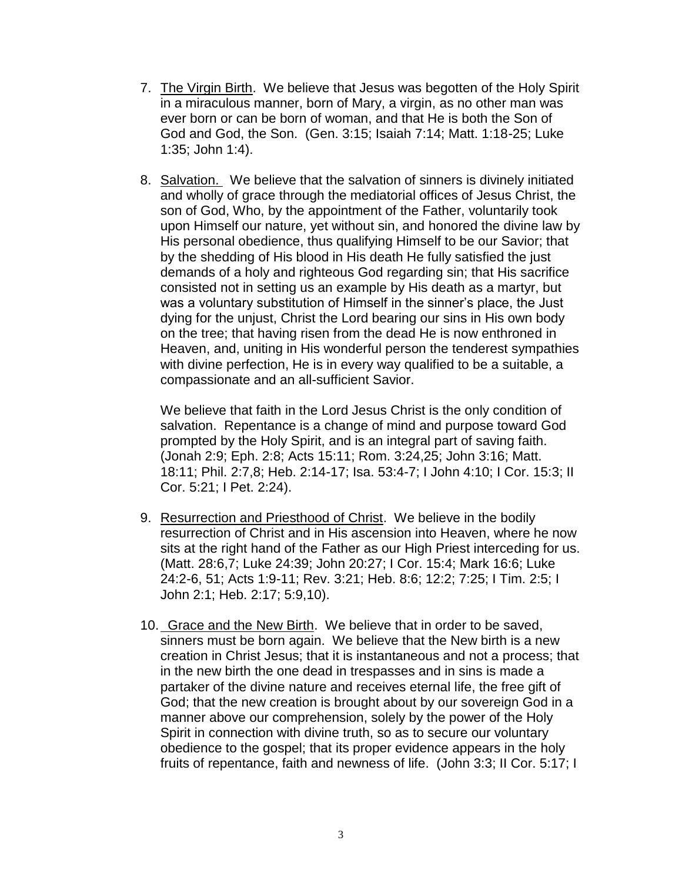- 7. The Virgin Birth. We believe that Jesus was begotten of the Holy Spirit in a miraculous manner, born of Mary, a virgin, as no other man was ever born or can be born of woman, and that He is both the Son of God and God, the Son. (Gen. 3:15; Isaiah 7:14; Matt. 1:18-25; Luke 1:35; John 1:4).
- 8. Salvation. We believe that the salvation of sinners is divinely initiated and wholly of grace through the mediatorial offices of Jesus Christ, the son of God, Who, by the appointment of the Father, voluntarily took upon Himself our nature, yet without sin, and honored the divine law by His personal obedience, thus qualifying Himself to be our Savior; that by the shedding of His blood in His death He fully satisfied the just demands of a holy and righteous God regarding sin; that His sacrifice consisted not in setting us an example by His death as a martyr, but was a voluntary substitution of Himself in the sinner's place, the Just dying for the unjust, Christ the Lord bearing our sins in His own body on the tree; that having risen from the dead He is now enthroned in Heaven, and, uniting in His wonderful person the tenderest sympathies with divine perfection, He is in every way qualified to be a suitable, a compassionate and an all-sufficient Savior.

We believe that faith in the Lord Jesus Christ is the only condition of salvation. Repentance is a change of mind and purpose toward God prompted by the Holy Spirit, and is an integral part of saving faith. (Jonah 2:9; Eph. 2:8; Acts 15:11; Rom. 3:24,25; John 3:16; Matt. 18:11; Phil. 2:7,8; Heb. 2:14-17; Isa. 53:4-7; I John 4:10; I Cor. 15:3; II Cor. 5:21; I Pet. 2:24).

- 9. Resurrection and Priesthood of Christ. We believe in the bodily resurrection of Christ and in His ascension into Heaven, where he now sits at the right hand of the Father as our High Priest interceding for us. (Matt. 28:6,7; Luke 24:39; John 20:27; I Cor. 15:4; Mark 16:6; Luke 24:2-6, 51; Acts 1:9-11; Rev. 3:21; Heb. 8:6; 12:2; 7:25; I Tim. 2:5; I John 2:1; Heb. 2:17; 5:9,10).
- 10. Grace and the New Birth. We believe that in order to be saved, sinners must be born again. We believe that the New birth is a new creation in Christ Jesus; that it is instantaneous and not a process; that in the new birth the one dead in trespasses and in sins is made a partaker of the divine nature and receives eternal life, the free gift of God; that the new creation is brought about by our sovereign God in a manner above our comprehension, solely by the power of the Holy Spirit in connection with divine truth, so as to secure our voluntary obedience to the gospel; that its proper evidence appears in the holy fruits of repentance, faith and newness of life. (John 3:3; II Cor. 5:17; I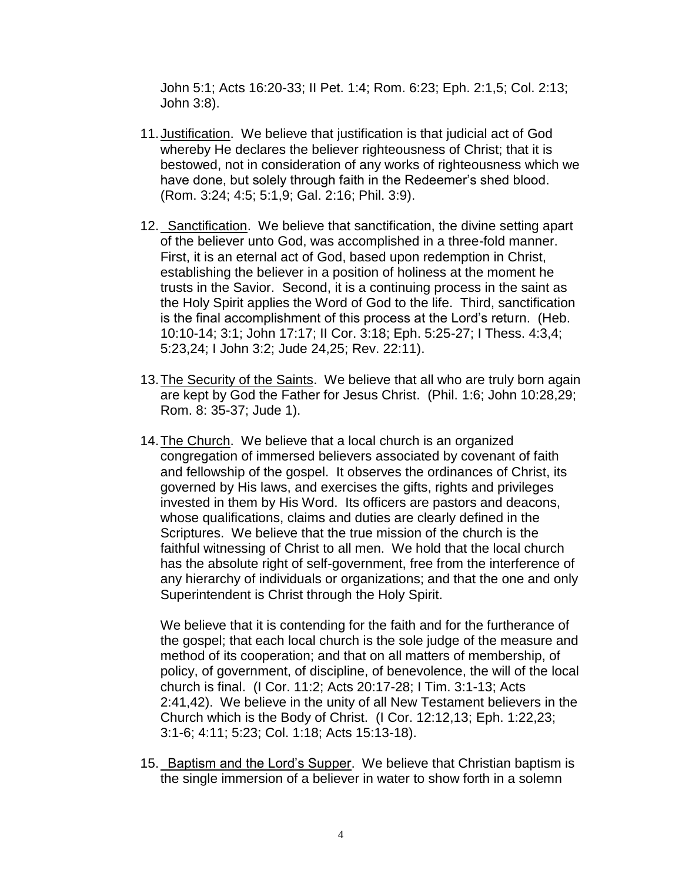John 5:1; Acts 16:20-33; II Pet. 1:4; Rom. 6:23; Eph. 2:1,5; Col. 2:13; John 3:8).

- 11.Justification. We believe that justification is that judicial act of God whereby He declares the believer righteousness of Christ; that it is bestowed, not in consideration of any works of righteousness which we have done, but solely through faith in the Redeemer's shed blood. (Rom. 3:24; 4:5; 5:1,9; Gal. 2:16; Phil. 3:9).
- 12. Sanctification. We believe that sanctification, the divine setting apart of the believer unto God, was accomplished in a three-fold manner. First, it is an eternal act of God, based upon redemption in Christ, establishing the believer in a position of holiness at the moment he trusts in the Savior. Second, it is a continuing process in the saint as the Holy Spirit applies the Word of God to the life. Third, sanctification is the final accomplishment of this process at the Lord's return. (Heb. 10:10-14; 3:1; John 17:17; II Cor. 3:18; Eph. 5:25-27; I Thess. 4:3,4; 5:23,24; I John 3:2; Jude 24,25; Rev. 22:11).
- 13.The Security of the Saints. We believe that all who are truly born again are kept by God the Father for Jesus Christ. (Phil. 1:6; John 10:28,29; Rom. 8: 35-37; Jude 1).
- 14.The Church. We believe that a local church is an organized congregation of immersed believers associated by covenant of faith and fellowship of the gospel. It observes the ordinances of Christ, its governed by His laws, and exercises the gifts, rights and privileges invested in them by His Word. Its officers are pastors and deacons, whose qualifications, claims and duties are clearly defined in the Scriptures. We believe that the true mission of the church is the faithful witnessing of Christ to all men. We hold that the local church has the absolute right of self-government, free from the interference of any hierarchy of individuals or organizations; and that the one and only Superintendent is Christ through the Holy Spirit.

We believe that it is contending for the faith and for the furtherance of the gospel; that each local church is the sole judge of the measure and method of its cooperation; and that on all matters of membership, of policy, of government, of discipline, of benevolence, the will of the local church is final. (I Cor. 11:2; Acts 20:17-28; I Tim. 3:1-13; Acts 2:41,42). We believe in the unity of all New Testament believers in the Church which is the Body of Christ. (I Cor. 12:12,13; Eph. 1:22,23; 3:1-6; 4:11; 5:23; Col. 1:18; Acts 15:13-18).

15. Baptism and the Lord's Supper. We believe that Christian baptism is the single immersion of a believer in water to show forth in a solemn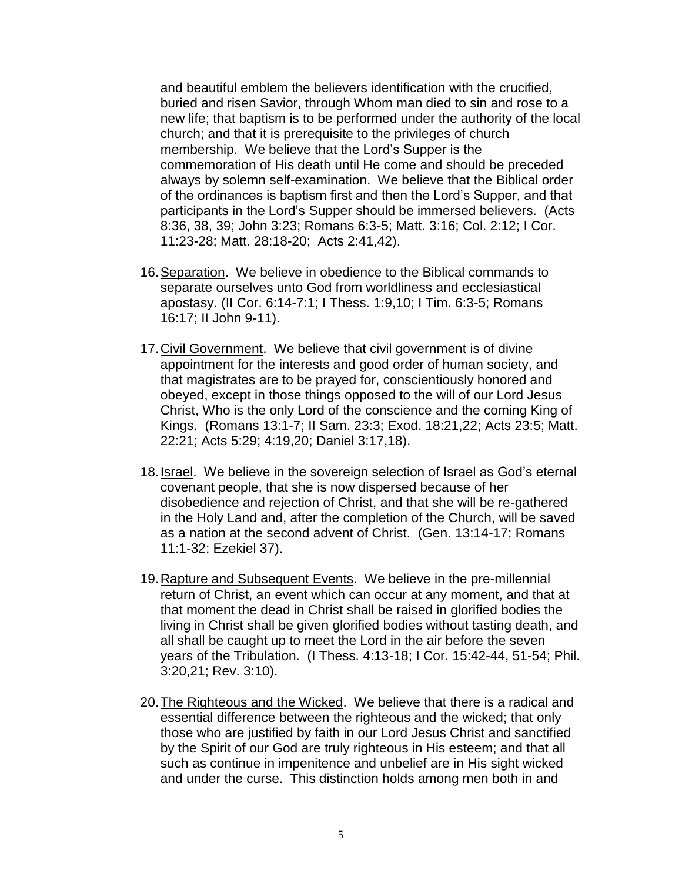and beautiful emblem the believers identification with the crucified, buried and risen Savior, through Whom man died to sin and rose to a new life; that baptism is to be performed under the authority of the local church; and that it is prerequisite to the privileges of church membership. We believe that the Lord's Supper is the commemoration of His death until He come and should be preceded always by solemn self-examination. We believe that the Biblical order of the ordinances is baptism first and then the Lord's Supper, and that participants in the Lord's Supper should be immersed believers. (Acts 8:36, 38, 39; John 3:23; Romans 6:3-5; Matt. 3:16; Col. 2:12; I Cor. 11:23-28; Matt. 28:18-20; Acts 2:41,42).

- 16.Separation. We believe in obedience to the Biblical commands to separate ourselves unto God from worldliness and ecclesiastical apostasy. (II Cor. 6:14-7:1; I Thess. 1:9,10; I Tim. 6:3-5; Romans 16:17; II John 9-11).
- 17.Civil Government. We believe that civil government is of divine appointment for the interests and good order of human society, and that magistrates are to be prayed for, conscientiously honored and obeyed, except in those things opposed to the will of our Lord Jesus Christ, Who is the only Lord of the conscience and the coming King of Kings. (Romans 13:1-7; II Sam. 23:3; Exod. 18:21,22; Acts 23:5; Matt. 22:21; Acts 5:29; 4:19,20; Daniel 3:17,18).
- 18.Israel. We believe in the sovereign selection of Israel as God's eternal covenant people, that she is now dispersed because of her disobedience and rejection of Christ, and that she will be re-gathered in the Holy Land and, after the completion of the Church, will be saved as a nation at the second advent of Christ. (Gen. 13:14-17; Romans 11:1-32; Ezekiel 37).
- 19. Rapture and Subsequent Events. We believe in the pre-millennial return of Christ, an event which can occur at any moment, and that at that moment the dead in Christ shall be raised in glorified bodies the living in Christ shall be given glorified bodies without tasting death, and all shall be caught up to meet the Lord in the air before the seven years of the Tribulation. (I Thess. 4:13-18; I Cor. 15:42-44, 51-54; Phil. 3:20,21; Rev. 3:10).
- 20.The Righteous and the Wicked. We believe that there is a radical and essential difference between the righteous and the wicked; that only those who are justified by faith in our Lord Jesus Christ and sanctified by the Spirit of our God are truly righteous in His esteem; and that all such as continue in impenitence and unbelief are in His sight wicked and under the curse. This distinction holds among men both in and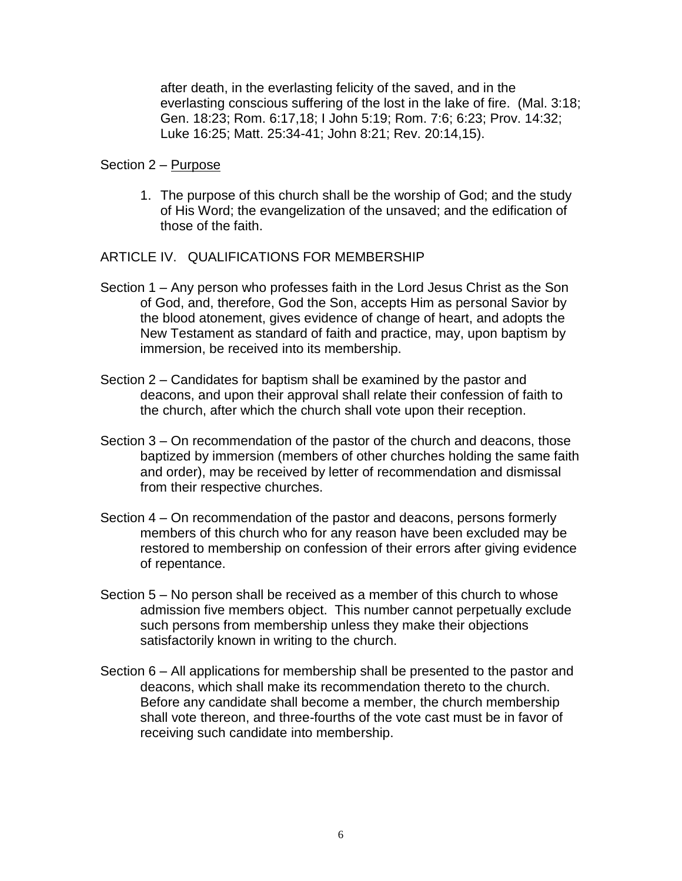after death, in the everlasting felicity of the saved, and in the everlasting conscious suffering of the lost in the lake of fire. (Mal. 3:18; Gen. 18:23; Rom. 6:17,18; I John 5:19; Rom. 7:6; 6:23; Prov. 14:32; Luke 16:25; Matt. 25:34-41; John 8:21; Rev. 20:14,15).

### Section 2 – Purpose

1. The purpose of this church shall be the worship of God; and the study of His Word; the evangelization of the unsaved; and the edification of those of the faith.

ARTICLE IV. QUALIFICATIONS FOR MEMBERSHIP

- Section 1 Any person who professes faith in the Lord Jesus Christ as the Son of God, and, therefore, God the Son, accepts Him as personal Savior by the blood atonement, gives evidence of change of heart, and adopts the New Testament as standard of faith and practice, may, upon baptism by immersion, be received into its membership.
- Section 2 Candidates for baptism shall be examined by the pastor and deacons, and upon their approval shall relate their confession of faith to the church, after which the church shall vote upon their reception.
- Section 3 On recommendation of the pastor of the church and deacons, those baptized by immersion (members of other churches holding the same faith and order), may be received by letter of recommendation and dismissal from their respective churches.
- Section 4 On recommendation of the pastor and deacons, persons formerly members of this church who for any reason have been excluded may be restored to membership on confession of their errors after giving evidence of repentance.
- Section 5 No person shall be received as a member of this church to whose admission five members object. This number cannot perpetually exclude such persons from membership unless they make their objections satisfactorily known in writing to the church.
- Section 6 All applications for membership shall be presented to the pastor and deacons, which shall make its recommendation thereto to the church. Before any candidate shall become a member, the church membership shall vote thereon, and three-fourths of the vote cast must be in favor of receiving such candidate into membership.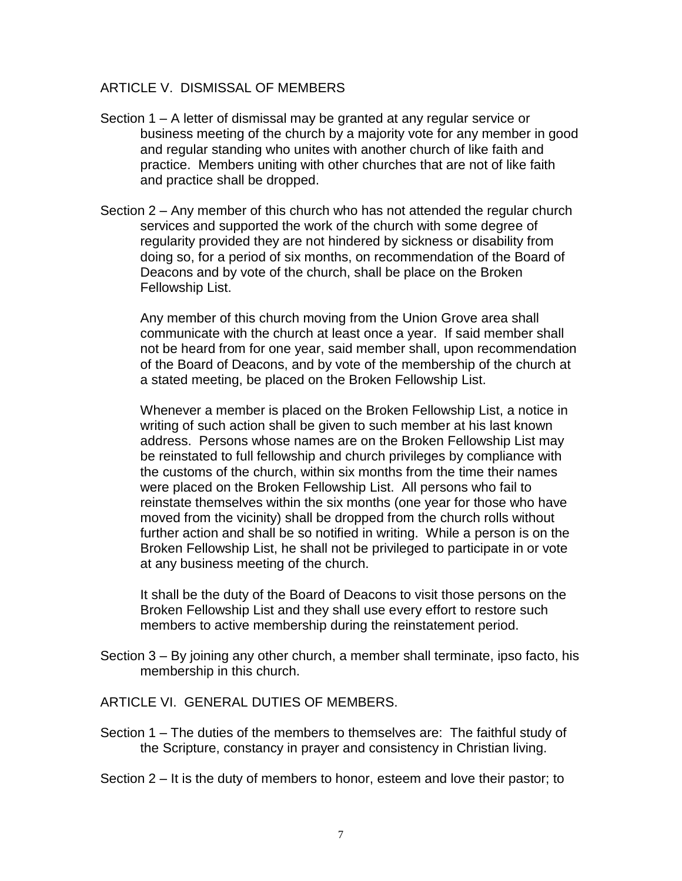### ARTICLE V. DISMISSAL OF MEMBERS

- Section 1 A letter of dismissal may be granted at any regular service or business meeting of the church by a majority vote for any member in good and regular standing who unites with another church of like faith and practice. Members uniting with other churches that are not of like faith and practice shall be dropped.
- Section 2 Any member of this church who has not attended the regular church services and supported the work of the church with some degree of regularity provided they are not hindered by sickness or disability from doing so, for a period of six months, on recommendation of the Board of Deacons and by vote of the church, shall be place on the Broken Fellowship List.

Any member of this church moving from the Union Grove area shall communicate with the church at least once a year. If said member shall not be heard from for one year, said member shall, upon recommendation of the Board of Deacons, and by vote of the membership of the church at a stated meeting, be placed on the Broken Fellowship List.

Whenever a member is placed on the Broken Fellowship List, a notice in writing of such action shall be given to such member at his last known address. Persons whose names are on the Broken Fellowship List may be reinstated to full fellowship and church privileges by compliance with the customs of the church, within six months from the time their names were placed on the Broken Fellowship List. All persons who fail to reinstate themselves within the six months (one year for those who have moved from the vicinity) shall be dropped from the church rolls without further action and shall be so notified in writing. While a person is on the Broken Fellowship List, he shall not be privileged to participate in or vote at any business meeting of the church.

It shall be the duty of the Board of Deacons to visit those persons on the Broken Fellowship List and they shall use every effort to restore such members to active membership during the reinstatement period.

Section 3 – By joining any other church, a member shall terminate, ipso facto, his membership in this church.

ARTICLE VI. GENERAL DUTIES OF MEMBERS.

- Section 1 The duties of the members to themselves are: The faithful study of the Scripture, constancy in prayer and consistency in Christian living.
- Section 2 It is the duty of members to honor, esteem and love their pastor; to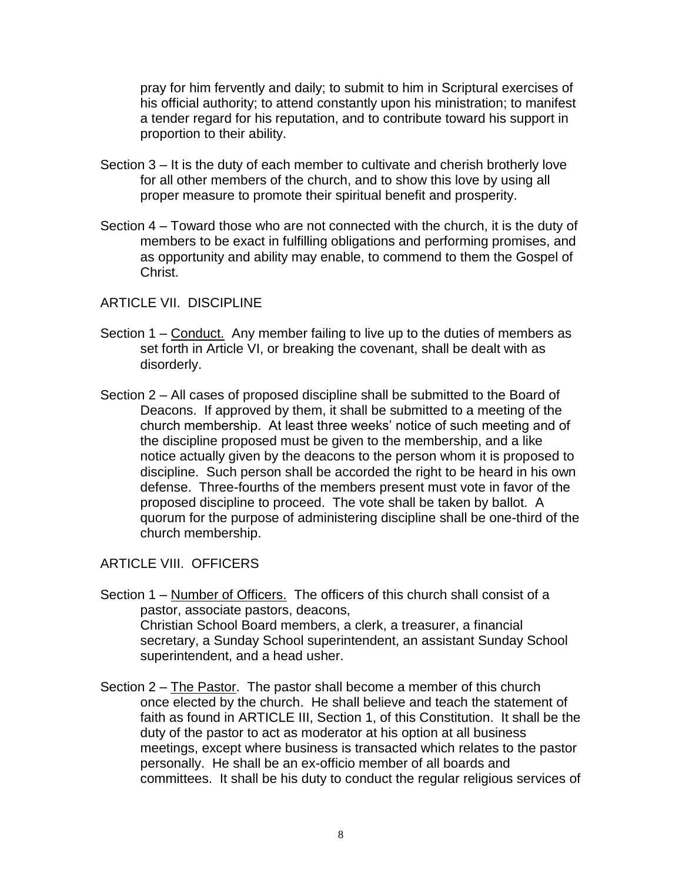pray for him fervently and daily; to submit to him in Scriptural exercises of his official authority; to attend constantly upon his ministration; to manifest a tender regard for his reputation, and to contribute toward his support in proportion to their ability.

- Section 3 It is the duty of each member to cultivate and cherish brotherly love for all other members of the church, and to show this love by using all proper measure to promote their spiritual benefit and prosperity.
- Section 4 Toward those who are not connected with the church, it is the duty of members to be exact in fulfilling obligations and performing promises, and as opportunity and ability may enable, to commend to them the Gospel of Christ.

## ARTICLE VII. DISCIPLINE

- Section 1 Conduct. Any member failing to live up to the duties of members as set forth in Article VI, or breaking the covenant, shall be dealt with as disorderly.
- Section 2 All cases of proposed discipline shall be submitted to the Board of Deacons. If approved by them, it shall be submitted to a meeting of the church membership. At least three weeks' notice of such meeting and of the discipline proposed must be given to the membership, and a like notice actually given by the deacons to the person whom it is proposed to discipline. Such person shall be accorded the right to be heard in his own defense. Three-fourths of the members present must vote in favor of the proposed discipline to proceed. The vote shall be taken by ballot. A quorum for the purpose of administering discipline shall be one-third of the church membership.

# ARTICLE VIII. OFFICERS

- Section 1 Number of Officers. The officers of this church shall consist of a pastor, associate pastors, deacons, Christian School Board members, a clerk, a treasurer, a financial secretary, a Sunday School superintendent, an assistant Sunday School superintendent, and a head usher.
- Section 2 The Pastor. The pastor shall become a member of this church once elected by the church. He shall believe and teach the statement of faith as found in ARTICLE III, Section 1, of this Constitution. It shall be the duty of the pastor to act as moderator at his option at all business meetings, except where business is transacted which relates to the pastor personally. He shall be an ex-officio member of all boards and committees. It shall be his duty to conduct the regular religious services of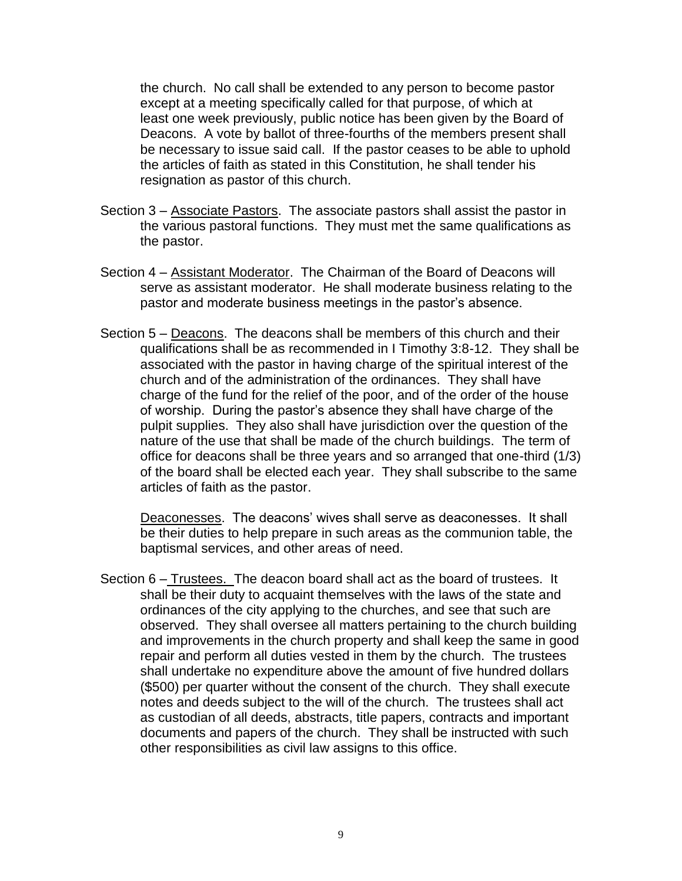the church. No call shall be extended to any person to become pastor except at a meeting specifically called for that purpose, of which at least one week previously, public notice has been given by the Board of Deacons. A vote by ballot of three-fourths of the members present shall be necessary to issue said call. If the pastor ceases to be able to uphold the articles of faith as stated in this Constitution, he shall tender his resignation as pastor of this church.

- Section 3 Associate Pastors. The associate pastors shall assist the pastor in the various pastoral functions. They must met the same qualifications as the pastor.
- Section 4 Assistant Moderator. The Chairman of the Board of Deacons will serve as assistant moderator. He shall moderate business relating to the pastor and moderate business meetings in the pastor's absence.
- Section 5 Deacons. The deacons shall be members of this church and their qualifications shall be as recommended in I Timothy 3:8-12. They shall be associated with the pastor in having charge of the spiritual interest of the church and of the administration of the ordinances. They shall have charge of the fund for the relief of the poor, and of the order of the house of worship. During the pastor's absence they shall have charge of the pulpit supplies. They also shall have jurisdiction over the question of the nature of the use that shall be made of the church buildings. The term of office for deacons shall be three years and so arranged that one-third (1/3) of the board shall be elected each year. They shall subscribe to the same articles of faith as the pastor.

Deaconesses. The deacons' wives shall serve as deaconesses. It shall be their duties to help prepare in such areas as the communion table, the baptismal services, and other areas of need.

Section 6 – Trustees. The deacon board shall act as the board of trustees. It shall be their duty to acquaint themselves with the laws of the state and ordinances of the city applying to the churches, and see that such are observed. They shall oversee all matters pertaining to the church building and improvements in the church property and shall keep the same in good repair and perform all duties vested in them by the church. The trustees shall undertake no expenditure above the amount of five hundred dollars (\$500) per quarter without the consent of the church. They shall execute notes and deeds subject to the will of the church. The trustees shall act as custodian of all deeds, abstracts, title papers, contracts and important documents and papers of the church. They shall be instructed with such other responsibilities as civil law assigns to this office.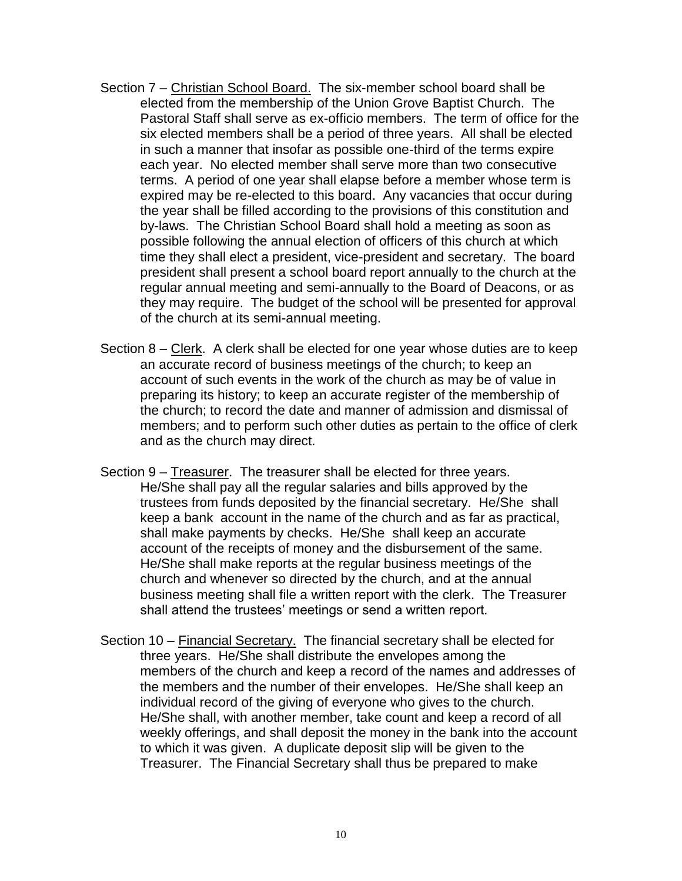- Section 7 Christian School Board. The six-member school board shall be elected from the membership of the Union Grove Baptist Church. The Pastoral Staff shall serve as ex-officio members. The term of office for the six elected members shall be a period of three years. All shall be elected in such a manner that insofar as possible one-third of the terms expire each year. No elected member shall serve more than two consecutive terms. A period of one year shall elapse before a member whose term is expired may be re-elected to this board. Any vacancies that occur during the year shall be filled according to the provisions of this constitution and by-laws. The Christian School Board shall hold a meeting as soon as possible following the annual election of officers of this church at which time they shall elect a president, vice-president and secretary. The board president shall present a school board report annually to the church at the regular annual meeting and semi-annually to the Board of Deacons, or as they may require. The budget of the school will be presented for approval of the church at its semi-annual meeting.
- Section 8 Clerk. A clerk shall be elected for one year whose duties are to keep an accurate record of business meetings of the church; to keep an account of such events in the work of the church as may be of value in preparing its history; to keep an accurate register of the membership of the church; to record the date and manner of admission and dismissal of members; and to perform such other duties as pertain to the office of clerk and as the church may direct.
- Section 9 Treasurer. The treasurer shall be elected for three years. He/She shall pay all the regular salaries and bills approved by the trustees from funds deposited by the financial secretary. He/She shall keep a bank account in the name of the church and as far as practical, shall make payments by checks. He/She shall keep an accurate account of the receipts of money and the disbursement of the same. He/She shall make reports at the regular business meetings of the church and whenever so directed by the church, and at the annual business meeting shall file a written report with the clerk. The Treasurer shall attend the trustees' meetings or send a written report.
- Section 10 Financial Secretary. The financial secretary shall be elected for three years. He/She shall distribute the envelopes among the members of the church and keep a record of the names and addresses of the members and the number of their envelopes. He/She shall keep an individual record of the giving of everyone who gives to the church. He/She shall, with another member, take count and keep a record of all weekly offerings, and shall deposit the money in the bank into the account to which it was given. A duplicate deposit slip will be given to the Treasurer. The Financial Secretary shall thus be prepared to make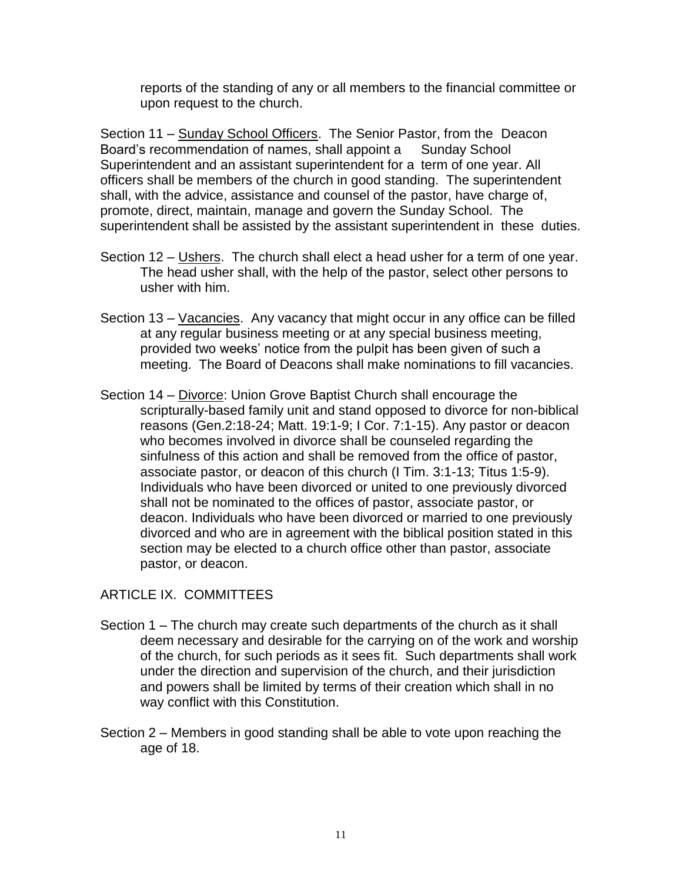reports of the standing of any or all members to the financial committee or upon request to the church.

Section 11 – Sunday School Officers. The Senior Pastor, from the Deacon Board's recommendation of names, shall appoint a Sunday School Superintendent and an assistant superintendent for a term of one year. All officers shall be members of the church in good standing. The superintendent shall, with the advice, assistance and counsel of the pastor, have charge of, promote, direct, maintain, manage and govern the Sunday School. The superintendent shall be assisted by the assistant superintendent in these duties.

- Section 12 Ushers. The church shall elect a head usher for a term of one year. The head usher shall, with the help of the pastor, select other persons to usher with him.
- Section 13 Vacancies. Any vacancy that might occur in any office can be filled at any regular business meeting or at any special business meeting, provided two weeks' notice from the pulpit has been given of such a meeting. The Board of Deacons shall make nominations to fill vacancies.
- Section 14 Divorce: Union Grove Baptist Church shall encourage the scripturally-based family unit and stand opposed to divorce for non-biblical reasons (Gen.2:18-24; Matt. 19:1-9; I Cor. 7:1-15). Any pastor or deacon who becomes involved in divorce shall be counseled regarding the sinfulness of this action and shall be removed from the office of pastor, associate pastor, or deacon of this church (I Tim. 3:1-13; Titus 1:5-9). Individuals who have been divorced or united to one previously divorced shall not be nominated to the offices of pastor, associate pastor, or deacon. Individuals who have been divorced or married to one previously divorced and who are in agreement with the biblical position stated in this section may be elected to a church office other than pastor, associate pastor, or deacon.

# ARTICLE IX. COMMITTEES

- Section 1 The church may create such departments of the church as it shall deem necessary and desirable for the carrying on of the work and worship of the church, for such periods as it sees fit. Such departments shall work under the direction and supervision of the church, and their jurisdiction and powers shall be limited by terms of their creation which shall in no way conflict with this Constitution.
- Section 2 Members in good standing shall be able to vote upon reaching the age of 18.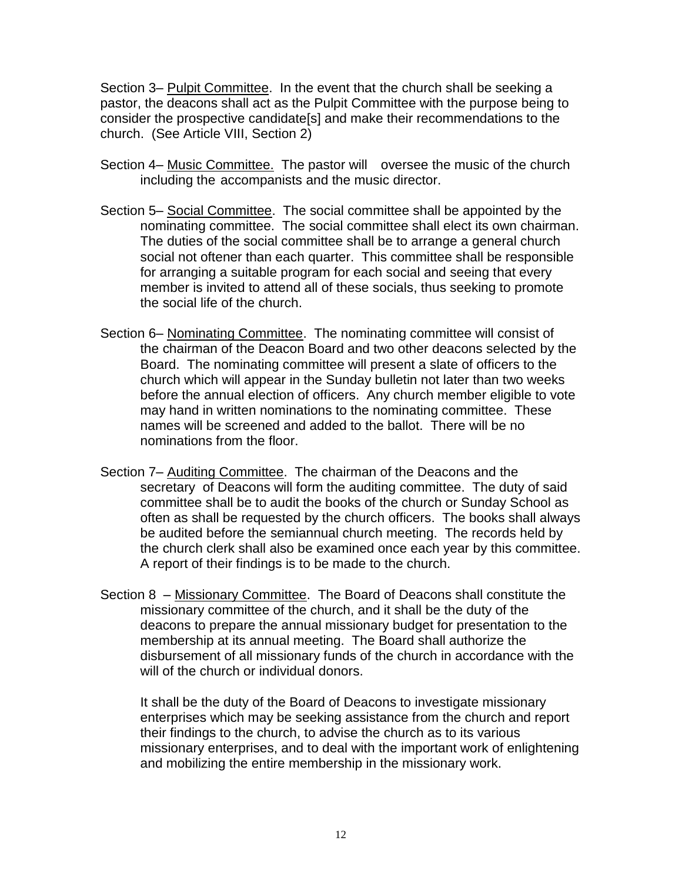Section 3– Pulpit Committee. In the event that the church shall be seeking a pastor, the deacons shall act as the Pulpit Committee with the purpose being to consider the prospective candidate[s] and make their recommendations to the church. (See Article VIII, Section 2)

- Section 4– Music Committee. The pastor will oversee the music of the church including the accompanists and the music director.
- Section 5– Social Committee. The social committee shall be appointed by the nominating committee. The social committee shall elect its own chairman. The duties of the social committee shall be to arrange a general church social not oftener than each quarter. This committee shall be responsible for arranging a suitable program for each social and seeing that every member is invited to attend all of these socials, thus seeking to promote the social life of the church.
- Section 6– Nominating Committee. The nominating committee will consist of the chairman of the Deacon Board and two other deacons selected by the Board. The nominating committee will present a slate of officers to the church which will appear in the Sunday bulletin not later than two weeks before the annual election of officers. Any church member eligible to vote may hand in written nominations to the nominating committee. These names will be screened and added to the ballot. There will be no nominations from the floor.
- Section 7– Auditing Committee. The chairman of the Deacons and the secretary of Deacons will form the auditing committee. The duty of said committee shall be to audit the books of the church or Sunday School as often as shall be requested by the church officers. The books shall always be audited before the semiannual church meeting. The records held by the church clerk shall also be examined once each year by this committee. A report of their findings is to be made to the church.
- Section 8 Missionary Committee. The Board of Deacons shall constitute the missionary committee of the church, and it shall be the duty of the deacons to prepare the annual missionary budget for presentation to the membership at its annual meeting. The Board shall authorize the disbursement of all missionary funds of the church in accordance with the will of the church or individual donors.

It shall be the duty of the Board of Deacons to investigate missionary enterprises which may be seeking assistance from the church and report their findings to the church, to advise the church as to its various missionary enterprises, and to deal with the important work of enlightening and mobilizing the entire membership in the missionary work.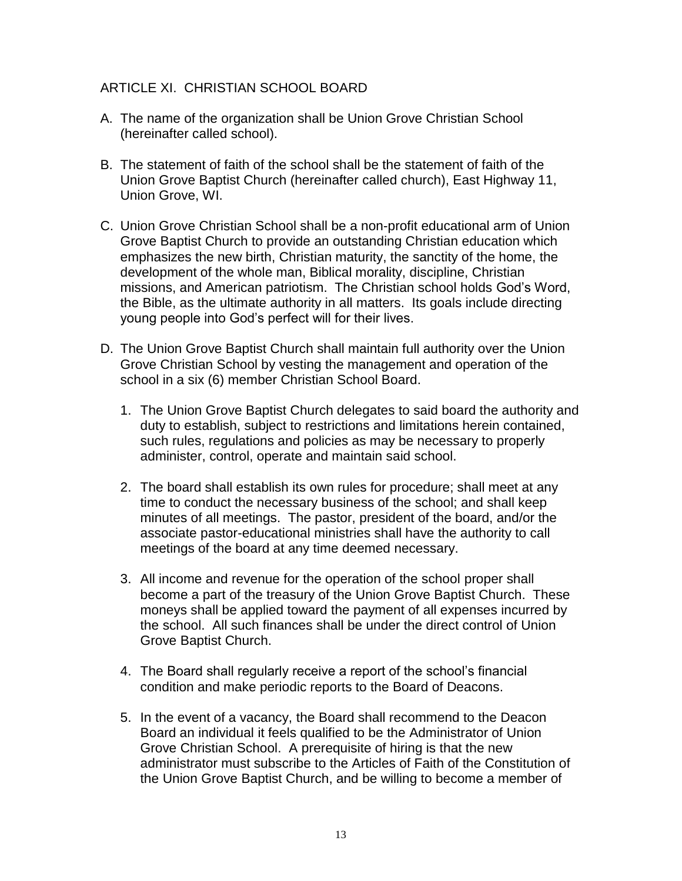# ARTICLE XI. CHRISTIAN SCHOOL BOARD

- A. The name of the organization shall be Union Grove Christian School (hereinafter called school).
- B. The statement of faith of the school shall be the statement of faith of the Union Grove Baptist Church (hereinafter called church), East Highway 11, Union Grove, WI.
- C. Union Grove Christian School shall be a non-profit educational arm of Union Grove Baptist Church to provide an outstanding Christian education which emphasizes the new birth, Christian maturity, the sanctity of the home, the development of the whole man, Biblical morality, discipline, Christian missions, and American patriotism. The Christian school holds God's Word, the Bible, as the ultimate authority in all matters. Its goals include directing young people into God's perfect will for their lives.
- D. The Union Grove Baptist Church shall maintain full authority over the Union Grove Christian School by vesting the management and operation of the school in a six (6) member Christian School Board.
	- 1. The Union Grove Baptist Church delegates to said board the authority and duty to establish, subject to restrictions and limitations herein contained, such rules, regulations and policies as may be necessary to properly administer, control, operate and maintain said school.
	- 2. The board shall establish its own rules for procedure; shall meet at any time to conduct the necessary business of the school; and shall keep minutes of all meetings. The pastor, president of the board, and/or the associate pastor-educational ministries shall have the authority to call meetings of the board at any time deemed necessary.
	- 3. All income and revenue for the operation of the school proper shall become a part of the treasury of the Union Grove Baptist Church. These moneys shall be applied toward the payment of all expenses incurred by the school. All such finances shall be under the direct control of Union Grove Baptist Church.
	- 4. The Board shall regularly receive a report of the school's financial condition and make periodic reports to the Board of Deacons.
	- 5. In the event of a vacancy, the Board shall recommend to the Deacon Board an individual it feels qualified to be the Administrator of Union Grove Christian School. A prerequisite of hiring is that the new administrator must subscribe to the Articles of Faith of the Constitution of the Union Grove Baptist Church, and be willing to become a member of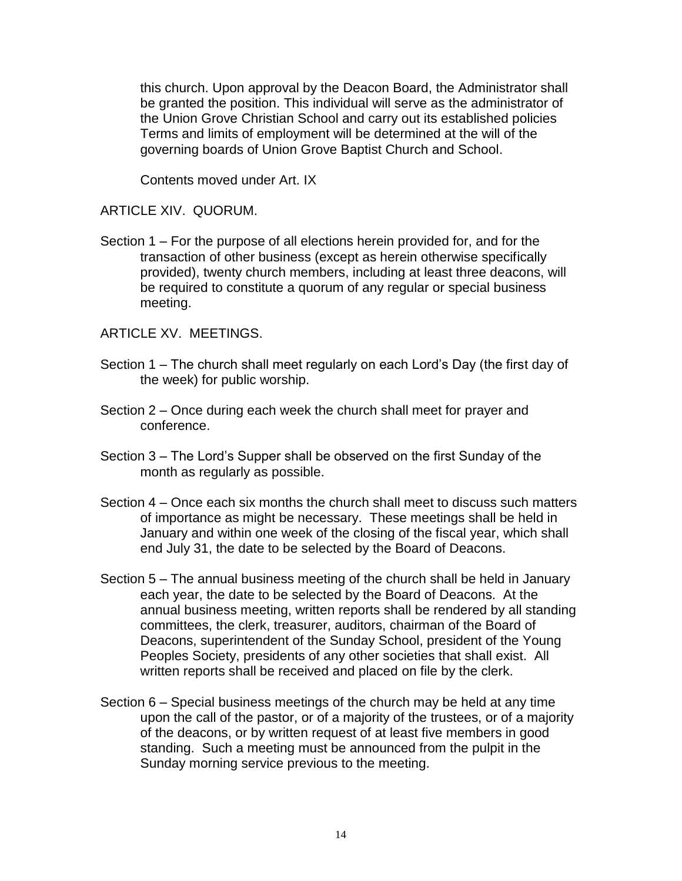this church. Upon approval by the Deacon Board, the Administrator shall be granted the position. This individual will serve as the administrator of the Union Grove Christian School and carry out its established policies Terms and limits of employment will be determined at the will of the governing boards of Union Grove Baptist Church and School.

Contents moved under Art. IX

### ARTICLE XIV. QUORUM.

Section 1 – For the purpose of all elections herein provided for, and for the transaction of other business (except as herein otherwise specifically provided), twenty church members, including at least three deacons, will be required to constitute a quorum of any regular or special business meeting.

ARTICLE XV. MEETINGS.

- Section 1 The church shall meet regularly on each Lord's Day (the first day of the week) for public worship.
- Section 2 Once during each week the church shall meet for prayer and conference.
- Section 3 The Lord's Supper shall be observed on the first Sunday of the month as regularly as possible.
- Section 4 Once each six months the church shall meet to discuss such matters of importance as might be necessary. These meetings shall be held in January and within one week of the closing of the fiscal year, which shall end July 31, the date to be selected by the Board of Deacons.
- Section 5 The annual business meeting of the church shall be held in January each year, the date to be selected by the Board of Deacons. At the annual business meeting, written reports shall be rendered by all standing committees, the clerk, treasurer, auditors, chairman of the Board of Deacons, superintendent of the Sunday School, president of the Young Peoples Society, presidents of any other societies that shall exist. All written reports shall be received and placed on file by the clerk.
- Section 6 Special business meetings of the church may be held at any time upon the call of the pastor, or of a majority of the trustees, or of a majority of the deacons, or by written request of at least five members in good standing. Such a meeting must be announced from the pulpit in the Sunday morning service previous to the meeting.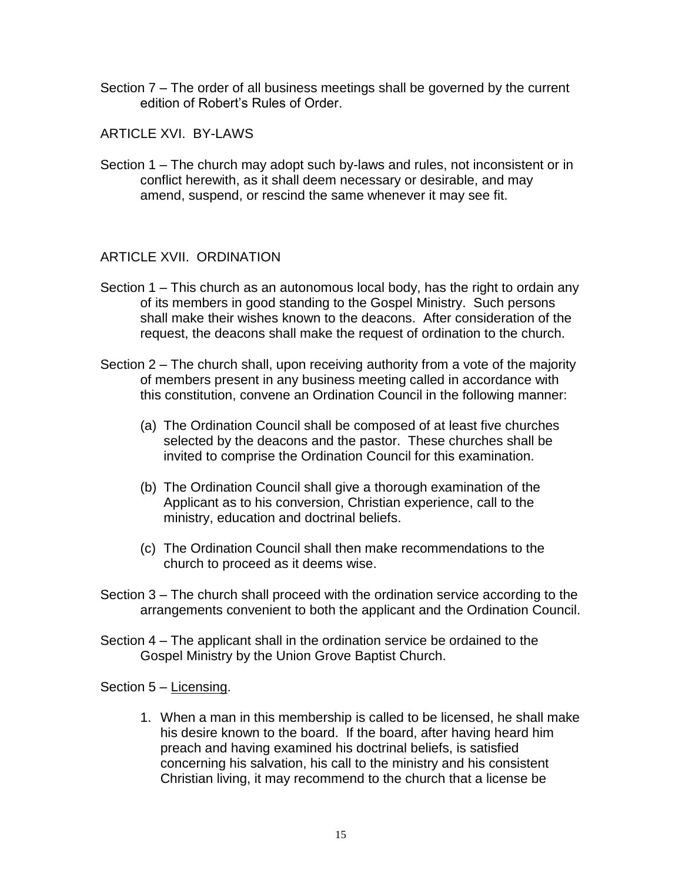Section 7 – The order of all business meetings shall be governed by the current edition of Robert's Rules of Order.

ARTICLE XVI. BY-LAWS

Section 1 – The church may adopt such by-laws and rules, not inconsistent or in conflict herewith, as it shall deem necessary or desirable, and may amend, suspend, or rescind the same whenever it may see fit.

### ARTICLE XVII. ORDINATION

- Section 1 This church as an autonomous local body, has the right to ordain any of its members in good standing to the Gospel Ministry. Such persons shall make their wishes known to the deacons. After consideration of the request, the deacons shall make the request of ordination to the church.
- Section 2 The church shall, upon receiving authority from a vote of the majority of members present in any business meeting called in accordance with this constitution, convene an Ordination Council in the following manner:
	- (a) The Ordination Council shall be composed of at least five churches selected by the deacons and the pastor. These churches shall be invited to comprise the Ordination Council for this examination.
	- (b) The Ordination Council shall give a thorough examination of the Applicant as to his conversion, Christian experience, call to the ministry, education and doctrinal beliefs.
	- (c) The Ordination Council shall then make recommendations to the church to proceed as it deems wise.
- Section 3 The church shall proceed with the ordination service according to the arrangements convenient to both the applicant and the Ordination Council.
- Section 4 The applicant shall in the ordination service be ordained to the Gospel Ministry by the Union Grove Baptist Church.

Section 5 – Licensing.

1. When a man in this membership is called to be licensed, he shall make his desire known to the board. If the board, after having heard him preach and having examined his doctrinal beliefs, is satisfied concerning his salvation, his call to the ministry and his consistent Christian living, it may recommend to the church that a license be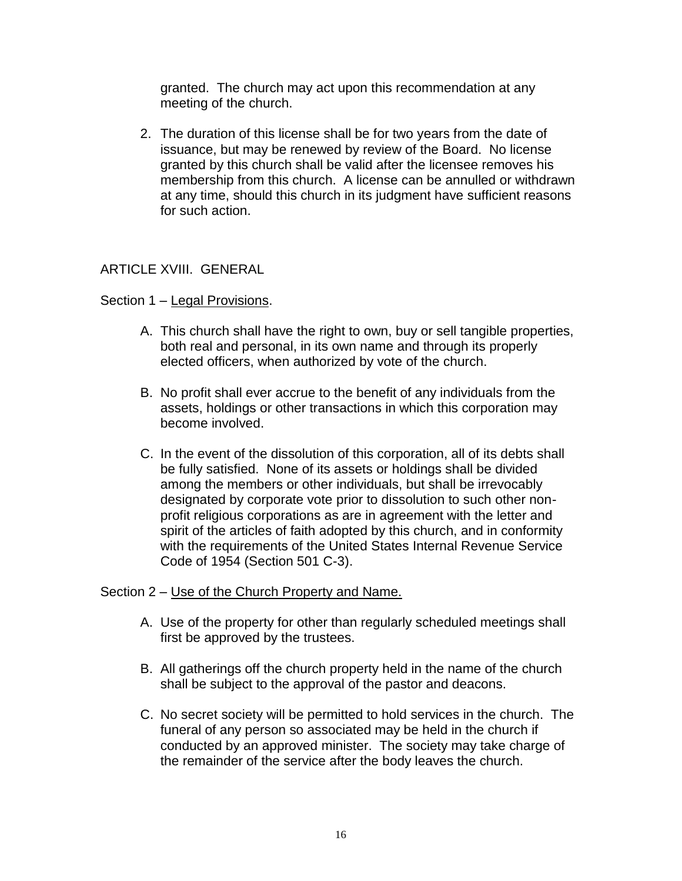granted. The church may act upon this recommendation at any meeting of the church.

2. The duration of this license shall be for two years from the date of issuance, but may be renewed by review of the Board. No license granted by this church shall be valid after the licensee removes his membership from this church. A license can be annulled or withdrawn at any time, should this church in its judgment have sufficient reasons for such action.

# ARTICLE XVIII. GENERAL

### Section 1 – Legal Provisions.

- A. This church shall have the right to own, buy or sell tangible properties, both real and personal, in its own name and through its properly elected officers, when authorized by vote of the church.
- B. No profit shall ever accrue to the benefit of any individuals from the assets, holdings or other transactions in which this corporation may become involved.
- C. In the event of the dissolution of this corporation, all of its debts shall be fully satisfied. None of its assets or holdings shall be divided among the members or other individuals, but shall be irrevocably designated by corporate vote prior to dissolution to such other nonprofit religious corporations as are in agreement with the letter and spirit of the articles of faith adopted by this church, and in conformity with the requirements of the United States Internal Revenue Service Code of 1954 (Section 501 C-3).

## Section 2 – Use of the Church Property and Name.

- A. Use of the property for other than regularly scheduled meetings shall first be approved by the trustees.
- B. All gatherings off the church property held in the name of the church shall be subject to the approval of the pastor and deacons.
- C. No secret society will be permitted to hold services in the church. The funeral of any person so associated may be held in the church if conducted by an approved minister. The society may take charge of the remainder of the service after the body leaves the church.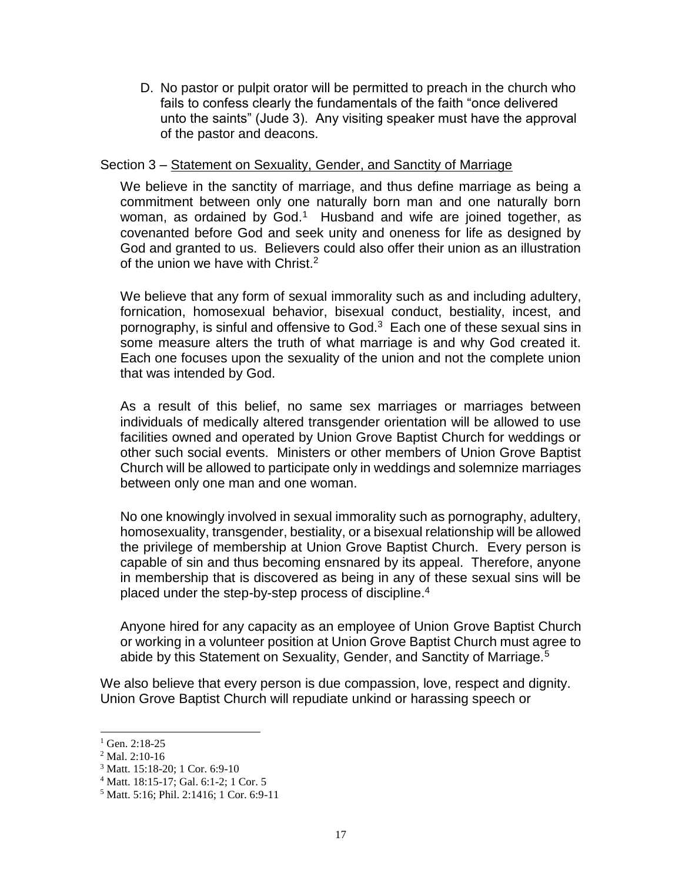D. No pastor or pulpit orator will be permitted to preach in the church who fails to confess clearly the fundamentals of the faith "once delivered unto the saints" (Jude 3). Any visiting speaker must have the approval of the pastor and deacons.

### Section 3 – Statement on Sexuality, Gender, and Sanctity of Marriage

We believe in the sanctity of marriage, and thus define marriage as being a commitment between only one naturally born man and one naturally born woman, as ordained by God.<sup>1</sup> Husband and wife are joined together, as covenanted before God and seek unity and oneness for life as designed by God and granted to us. Believers could also offer their union as an illustration of the union we have with Christ.<sup>2</sup>

We believe that any form of sexual immorality such as and including adultery, fornication, homosexual behavior, bisexual conduct, bestiality, incest, and pornography, is sinful and offensive to God. $3$  Each one of these sexual sins in some measure alters the truth of what marriage is and why God created it. Each one focuses upon the sexuality of the union and not the complete union that was intended by God.

As a result of this belief, no same sex marriages or marriages between individuals of medically altered transgender orientation will be allowed to use facilities owned and operated by Union Grove Baptist Church for weddings or other such social events. Ministers or other members of Union Grove Baptist Church will be allowed to participate only in weddings and solemnize marriages between only one man and one woman.

No one knowingly involved in sexual immorality such as pornography, adultery, homosexuality, transgender, bestiality, or a bisexual relationship will be allowed the privilege of membership at Union Grove Baptist Church. Every person is capable of sin and thus becoming ensnared by its appeal. Therefore, anyone in membership that is discovered as being in any of these sexual sins will be placed under the step-by-step process of discipline.<sup>4</sup>

Anyone hired for any capacity as an employee of Union Grove Baptist Church or working in a volunteer position at Union Grove Baptist Church must agree to abide by this Statement on Sexuality, Gender, and Sanctity of Marriage.<sup>5</sup>

We also believe that every person is due compassion, love, respect and dignity. Union Grove Baptist Church will repudiate unkind or harassing speech or

l

 $1$  Gen. 2:18-25

<sup>2</sup> Mal. 2:10-16

<sup>3</sup> Matt. 15:18-20; 1 Cor. 6:9-10

<sup>4</sup> Matt. 18:15-17; Gal. 6:1-2; 1 Cor. 5

<sup>5</sup> Matt. 5:16; Phil. 2:1416; 1 Cor. 6:9-11